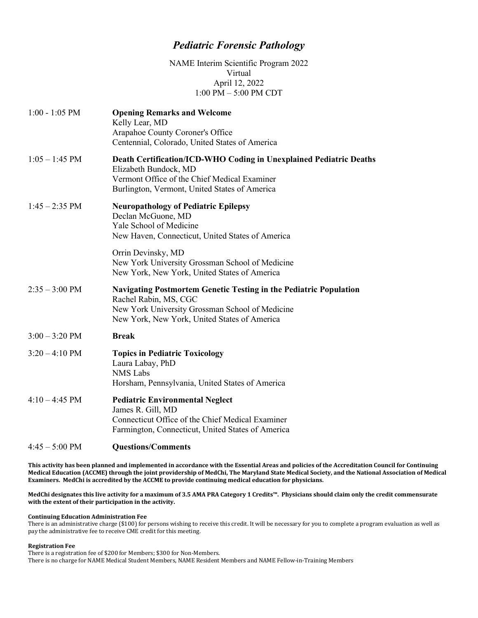## *Pediatric Forensic Pathology*

NAME Interim Scientific Program 2022 Virtual April 12, 2022 1:00 PM – 5:00 PM CDT

| $1:00 - 1:05$ PM         | <b>Opening Remarks and Welcome</b><br>Kelly Lear, MD<br>Arapahoe County Coroner's Office<br>Centennial, Colorado, United States of America                                                           |
|--------------------------|------------------------------------------------------------------------------------------------------------------------------------------------------------------------------------------------------|
| $1:05 - 1:45$ PM         | Death Certification/ICD-WHO Coding in Unexplained Pediatric Deaths<br>Elizabeth Bundock, MD<br>Vermont Office of the Chief Medical Examiner<br>Burlington, Vermont, United States of America         |
| $1:45 - 2:35$ PM         | <b>Neuropathology of Pediatric Epilepsy</b><br>Declan McGuone, MD<br>Yale School of Medicine<br>New Haven, Connecticut, United States of America                                                     |
|                          | Orrin Devinsky, MD<br>New York University Grossman School of Medicine<br>New York, New York, United States of America                                                                                |
| $2:35 - 3:00 \text{ PM}$ | <b>Navigating Postmortem Genetic Testing in the Pediatric Population</b><br>Rachel Rabin, MS, CGC<br>New York University Grossman School of Medicine<br>New York, New York, United States of America |
| $3:00 - 3:20$ PM         | <b>Break</b>                                                                                                                                                                                         |
| $3:20 - 4:10 \text{ PM}$ | <b>Topics in Pediatric Toxicology</b><br>Laura Labay, PhD<br><b>NMS</b> Labs<br>Horsham, Pennsylvania, United States of America                                                                      |
| $4:10 - 4:45$ PM         | <b>Pediatric Environmental Neglect</b><br>James R. Gill, MD<br>Connecticut Office of the Chief Medical Examiner<br>Farmington, Connecticut, United States of America                                 |
| $4:45 - 5:00$ PM         | <b>Ouestions/Comments</b>                                                                                                                                                                            |

**This activity has been planned and implemented in accordance with the Essential Areas and policies of the Accreditation Council for Continuing Medical Education (ACCME) through the joint providership of MedChi, The Maryland State Medical Society, and the National Association of Medical Examiners. MedChi is accredited by the ACCME to provide continuing medical education for physicians.**

**MedChi designates this live activity for a maximum of 3.5 AMA PRA Category 1 Credits™. Physicians should claim only the credit commensurate with the extent of their participation in the activity.**

## **Continuing Education Administration Fee**

There is an administrative charge (\$100) for persons wishing to receive this credit. It will be necessary for you to complete a program evaluation as well as pay the administrative fee to receive CME credit for this meeting.

## **Registration Fee**

There is a registration fee of \$200 for Members; \$300 for Non-Members. There is no charge for NAME Medical Student Members, NAME Resident Members and NAME Fellow-in-Training Members